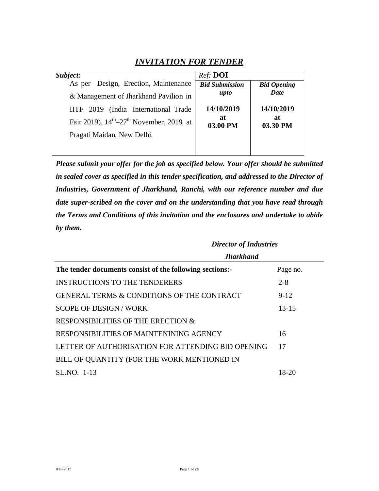### *INVITATION FOR TENDER*

| Subject:                                                        | Ref: <b>DOI</b>       |                    |
|-----------------------------------------------------------------|-----------------------|--------------------|
| Design, Erection, Maintenance<br>As per                         | <b>Bid Submission</b> | <b>Bid Opening</b> |
| & Management of Jharkhand Pavilion in                           | upto                  | Date               |
| IITF 2019 (India International Trade                            | 14/10/2019            | 14/10/2019         |
| Fair 2019), $14^{\text{th}} - 27^{\text{th}}$ November, 2019 at | at<br>03.00 PM        | at<br>03.30 PM     |
| Pragati Maidan, New Delhi.                                      |                       |                    |
|                                                                 |                       |                    |

*Please submit your offer for the job as specified below. Your offer should be submitted in sealed cover as specified in this tender specification, and addressed to the Director of Industries, Government of Jharkhand, Ranchi, with our reference number and due date super-scribed on the cover and on the understanding that you have read through the Terms and Conditions of this invitation and the enclosures and undertake to abide by them.*

|                                                          | <b>Director of Industries</b> |
|----------------------------------------------------------|-------------------------------|
| <b>Jharkhand</b>                                         |                               |
| The tender documents consist of the following sections:- | Page no.                      |
| <b>INSTRUCTIONS TO THE TENDERERS</b>                     | $2 - 8$                       |
| <b>GENERAL TERMS &amp; CONDITIONS OF THE CONTRACT</b>    | $9 - 12$                      |
| <b>SCOPE OF DESIGN/WORK</b>                              | $13 - 15$                     |
| RESPONSIBILITIES OF THE ERECTION &                       |                               |
| RESPONSIBILITIES OF MAINTENINING AGENCY                  | 16                            |
| LETTER OF AUTHORISATION FOR ATTENDING BID OPENING        | 17                            |
| BILL OF QUANTITY (FOR THE WORK MENTIONED IN              |                               |
| SL.NO. 1-13                                              | 18-20                         |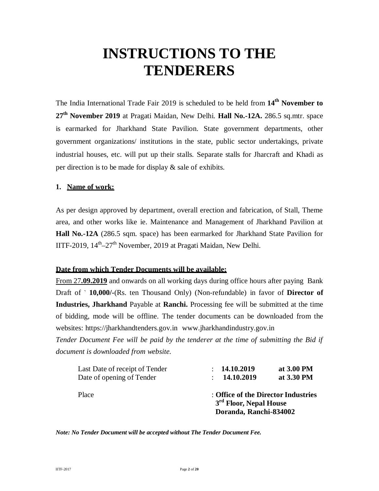# **INSTRUCTIONS TO THE TENDERERS**

The India International Trade Fair 2019 is scheduled to be held from **14th November to 27th November 2019** at Pragati Maidan, New Delhi. **Hall No.-12A.** 286.5 sq.mtr. space is earmarked for Jharkhand State Pavilion. State government departments, other government organizations/ institutions in the state, public sector undertakings, private industrial houses, etc. will put up their stalls*.* Separate stalls for Jharcraft and Khadi as per direction is to be made for display & sale of exhibits.

#### **1. Name of work:**

As per design approved by department, overall erection and fabrication, of Stall, Theme area, and other works like ie. Maintenance and Management of Jharkhand Pavilion at **Hall No.-12A** (286.5 sqm. space) has been earmarked for Jharkhand State Pavilion for IITF-2019, 14<sup>th</sup>-27<sup>th</sup> November, 2019 at Pragati Maidan, New Delhi.

#### **Date from which Tender Documents will be available:**

From 27**.09.2019** and onwards on all working days during office hours after paying Bank Draft of ` **10,000/-**(Rs. ten Thousand Only) (Non-refundable) in favor of **Director of Industries, Jharkhand** Payable at **Ranchi.** Processing fee will be submitted at the time of bidding, mode will be offline. The tender documents can be downloaded from the websites: https://jharkhandtenders.gov.in www.jharkhandindustry.gov.in

*Tender Document Fee will be paid by the tenderer at the time of submitting the Bid if document is downloaded from website.*

| Last Date of receipt of Tender | : 14.10.2019                                                                                        | at 3.00 PM |
|--------------------------------|-----------------------------------------------------------------------------------------------------|------------|
| Date of opening of Tender      | : 14.10.2019                                                                                        | at 3.30 PM |
| Place                          | : Office of the Director Industries<br>3 <sup>rd</sup> Floor, Nepal House<br>Doranda, Ranchi-834002 |            |

*Note: No Tender Document will be accepted without The Tender Document Fee.*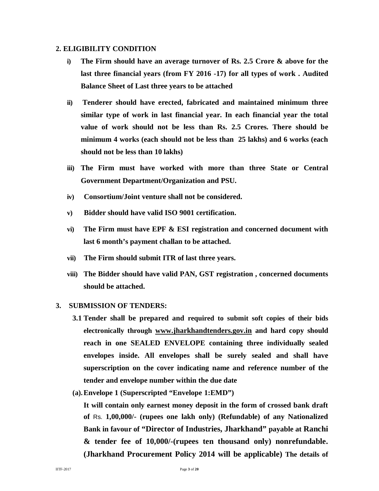#### **2. ELIGIBILITY CONDITION**

- **i) The Firm should have an average turnover of Rs. 2.5 Crore & above for the last three financial years (from FY 2016 -17) for all types of work . Audited Balance Sheet of Last three years to be attached**
- **ii) Tenderer should have erected, fabricated and maintained minimum three similar type of work in last financial year. In each financial year the total value of work should not be less than Rs. 2.5 Crores. There should be minimum 4 works (each should not be less than 25 lakhs) and 6 works (each should not be less than 10 lakhs)**
- **iii) The Firm must have worked with more than three State or Central Government Department/Organization and PSU.**
- **iv) Consortium/Joint venture shall not be considered.**
- **v) Bidder should have valid ISO 9001 certification.**
- **vi) The Firm must have EPF & ESI registration and concerned document with last 6 month's payment challan to be attached.**
- **vii) The Firm should submit ITR of last three years.**
- **viii) The Bidder should have valid PAN, GST registration , concerned documents should be attached.**

#### **3. SUBMISSION OF TENDERS:**

- **3.1 Tender shall be prepared and required to submit soft copies of their bids electronically through www.jharkhandtenders.gov.in and hard copy should reach in one SEALED ENVELOPE containing three individually sealed envelopes inside. All envelopes shall be surely sealed and shall have superscription on the cover indicating name and reference number of the tender and envelope number within the due date**
- **(a).Envelope 1 (Superscripted "Envelope 1:EMD")**

**It will contain only earnest money deposit in the form of crossed bank draft of** Rs. **1,00,000/- (rupees one lakh only) (Refundable) of any Nationalized Bank in favour of "Director of Industries, Jharkhand" payable at Ranchi & tender fee of 10,000/-(rupees ten thousand only) nonrefundable. (Jharkhand Procurement Policy 2014 will be applicable) The details of**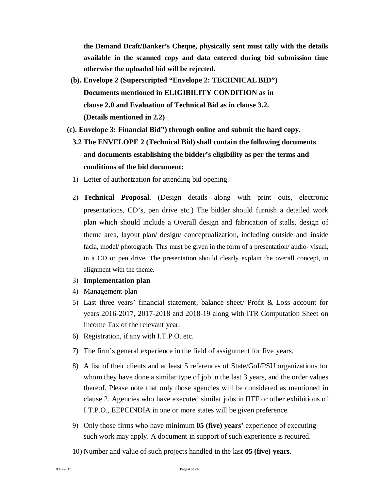**the Demand Draft/Banker's Cheque, physically sent must tally with the details available in the scanned copy and data entered during bid submission time otherwise the uploaded bid will be rejected.**

- **(b). Envelope 2 (Superscripted "Envelope 2: TECHNICALBID") Documents mentioned in ELIGIBILITY CONDITION as in clause 2.0 and Evaluation of Technical Bid as in clause 3.2. (Details mentioned in 2.2)**
- **(c). Envelope 3: Financial Bid") through online and submit the hard copy.**
	- **3.2 The ENVELOPE 2 (Technical Bid) shall contain the following documents and documents establishing the bidder's eligibility as per the terms and conditions of the bid document:**
	- 1) Letter of authorization for attending bid opening.
	- 2) **Technical Proposal.** (Design details along with print outs, electronic presentations, CD's, pen drive etc.) The bidder should furnish a detailed work plan which should include a Overall design and fabrication of stalls, design of theme area, layout plan/ design/ conceptualization, including outside and inside facia, model/ photograph. This must be given in the form of a presentation/ audio- visual, in a CD or pen drive. The presentation should clearly explain the overall concept, in alignment with the theme.
	- 3) **Implementation plan**
	- 4) Management plan
	- 5) Last three years' financial statement, balance sheet/ Profit & Loss account for years 2016-2017, 2017-2018 and 2018-19 along with ITR Computation Sheet on Income Tax of the relevant year.
	- 6) Registration, if any with I.T.P.O. etc.
	- 7) The firm's general experience in the field of assignment for five years.
	- 8) A list of their clients and at least 5 references of State/GoI/PSU organizations for whom they have done a similar type of job in the last 3 years, and the order values thereof. Please note that only those agencies will be considered as mentioned in clause 2. Agencies who have executed similar jobs in IITF or other exhibitions of I.T.P.O., EEPCINDIA in one or more states will be given preference.
	- 9) Only those firms who have minimum **05 (five) years'** experience of executing such work may apply. A document in support of such experience is required.
	- 10) Number and value of such projects handled in the last **05 (five) years.**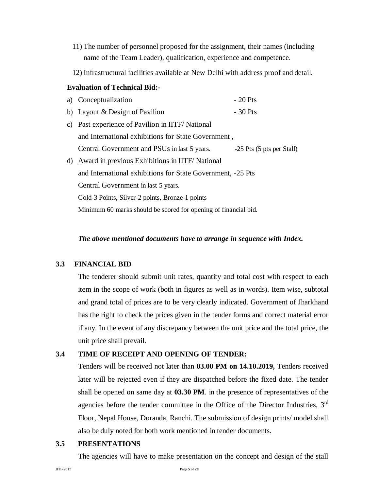- 11) The number of personnel proposed for the assignment, their names (including name of the Team Leader), qualification, experience and competence.
- 12) Infrastructural facilities available at New Delhi with address proof and detail.

#### **Evaluation of Technical Bid:-**

|    | a) Conceptualization                                            | $-20$ Pts                 |
|----|-----------------------------------------------------------------|---------------------------|
|    | b) Layout & Design of Pavilion                                  | $-30$ Pts                 |
|    | c) Past experience of Pavilion in IITF/National                 |                           |
|    | and International exhibitions for State Government,             |                           |
|    | Central Government and PSUs in last 5 years.                    | -25 Pts (5 pts per Stall) |
| d) | Award in previous Exhibitions in IITF/National                  |                           |
|    | and International exhibitions for State Government, -25 Pts     |                           |
|    | Central Government in last 5 years.                             |                           |
|    | Gold-3 Points, Silver-2 points, Bronze-1 points                 |                           |
|    | Minimum 60 marks should be scored for opening of financial bid. |                           |

#### *The above mentioned documents have to arrange in sequence with Index.*

#### **3.3 FINANCIAL BID**

The tenderer should submit unit rates, quantity and total cost with respect to each item in the scope of work (both in figures as well as in words). Item wise, subtotal and grand total of prices are to be very clearly indicated. Government of Jharkhand has the right to check the prices given in the tender forms and correct material error if any. In the event of any discrepancy between the unit price and the total price, the unit price shall prevail.

#### **3.4 TIME OF RECEIPT AND OPENING OF TENDER:**

Tenders will be received not later than **03.00 PM on 14.10.2019,** Tenders received later will be rejected even if they are dispatched before the fixed date. The tender shall be opened on same day at **03.30 PM**. in the presence of representatives of the agencies before the tender committee in the Office of the Director Industries, 3<sup>rd</sup> Floor, Nepal House, Doranda, Ranchi. The submission of design prints/ model shall also be duly noted for both work mentioned in tender documents.

#### **3.5 PRESENTATIONS**

The agencies will have to make presentation on the concept and design of the stall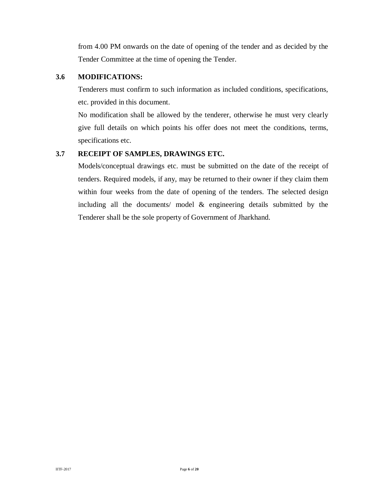from 4.00 PM onwards on the date of opening of the tender and as decided by the Tender Committee at the time of opening the Tender.

#### **3.6 MODIFICATIONS:**

Tenderers must confirm to such information as included conditions, specifications, etc. provided in this document.

No modification shall be allowed by the tenderer, otherwise he must very clearly give full details on which points his offer does not meet the conditions, terms, specifications etc.

#### **3.7 RECEIPT OF SAMPLES, DRAWINGS ETC.**

Models/conceptual drawings etc. must be submitted on the date of the receipt of tenders. Required models, if any, may be returned to their owner if they claim them within four weeks from the date of opening of the tenders. The selected design including all the documents/ model & engineering details submitted by the Tenderer shall be the sole property of Government of Jharkhand.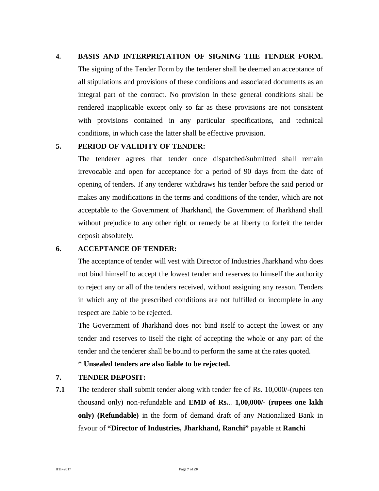#### **4. BASIS AND INTERPRETATION OF SIGNING THE TENDER FORM.**

The signing of the Tender Form by the tenderer shall be deemed an acceptance of all stipulations and provisions of these conditions and associated documents as an integral part of the contract. No provision in these general conditions shall be rendered inapplicable except only so far as these provisions are not consistent with provisions contained in any particular specifications, and technical conditions, in which case the latter shall be effective provision.

#### **5. PERIOD OF VALIDITY OF TENDER:**

The tenderer agrees that tender once dispatched/submitted shall remain irrevocable and open for acceptance for a period of 90 days from the date of opening of tenders. If any tenderer withdraws his tender before the said period or makes any modifications in the terms and conditions of the tender, which are not acceptable to the Government of Jharkhand, the Government of Jharkhand shall without prejudice to any other right or remedy be at liberty to forfeit the tender deposit absolutely.

#### **6. ACCEPTANCE OF TENDER:**

The acceptance of tender will vest with Director of Industries Jharkhand who does not bind himself to accept the lowest tender and reserves to himself the authority to reject any or all of the tenders received, without assigning any reason. Tenders in which any of the prescribed conditions are not fulfilled or incomplete in any respect are liable to be rejected.

The Government of Jharkhand does not bind itself to accept the lowest or any tender and reserves to itself the right of accepting the whole or any part of the tender and the tenderer shall be bound to perform the same at the rates quoted.

#### \* **Unsealed tenders are also liable to be rejected.**

#### **7. TENDER DEPOSIT:**

**7.1** The tenderer shall submit tender along with tender fee of Rs. 10,000/-(rupees ten thousand only) non-refundable and **EMD of Rs.**.. **1,00,000/- (rupees one lakh only) (Refundable)** in the form of demand draft of any Nationalized Bank in favour of **"Director of Industries, Jharkhand, Ranchi"** payable at **Ranchi**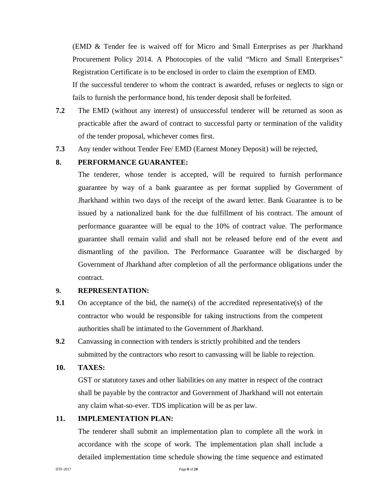(EMD & Tender fee is waived off for Micro and Small Enterprises as per Jharkhand Procurement Policy 2014. A Photocopies of the valid "Micro and Small Enterprises" Registration Certificate is to be enclosed in order to claim the exemption of EMD.

If the successful tenderer to whom the contract is awarded, refuses or neglects to sign or fails to furnish the performance bond, his tender deposit shall be forfeited.

- **7.2** The EMD (without any interest) of unsuccessful tenderer will be returned as soon as practicable after the award of contract to successful party or termination of the validity of the tender proposal, whichever comes first.
- **7.3** Any tender without Tender Fee/ EMD (Earnest Money Deposit) will be rejected,

#### **8. PERFORMANCE GUARANTEE:**

The tenderer, whose tender is accepted, will be required to furnish performance guarantee by way of a bank guarantee as per format supplied by Government of Jharkhand within two days of the receipt of the award letter. Bank Guarantee is to be issued by a nationalized bank for the due fulfillment of his contract. The amount of performance guarantee will be equal to the 10% of contract value. The performance guarantee shall remain valid and shall not be released before end of the event and dismantling of the pavilion. The Performance Guarantee will be discharged by Government of Jharkhand after completion of all the performance obligations under the contract.

#### **9. REPRESENTATION:**

- **9.1** On acceptance of the bid, the name(s) of the accredited representative(s) of the contractor who would be responsible for taking instructions from the competent authorities shall be intimated to the Government of Jharkhand.
- **9.2** Canvassing in connection with tenders is strictly prohibited and the tenders submitted by the contractors who resort to canvassing will be liable to rejection.

#### **10. TAXES:**

GST or statutory taxes and other liabilities on any matter in respect of the contract shall be payable by the contractor and Government of Jharkhand will not entertain any claim what-so-ever. TDS implication will be as per law.

#### **11. IMPLEMENTATION PLAN:**

The tenderer shall submit an implementation plan to complete all the work in accordance with the scope of work. The implementation plan shall include a detailed implementation time schedule showing the time sequence and estimated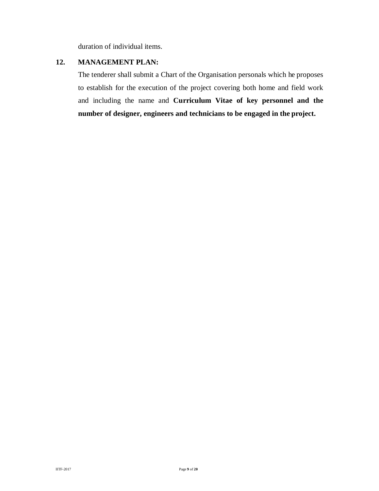duration of individual items.

#### **12. MANAGEMENT PLAN:**

The tenderer shall submit a Chart of the Organisation personals which he proposes to establish for the execution of the project covering both home and field work and including the name and **Curriculum Vitae of key personnel and the number of designer, engineers and technicians to be engaged in the project.**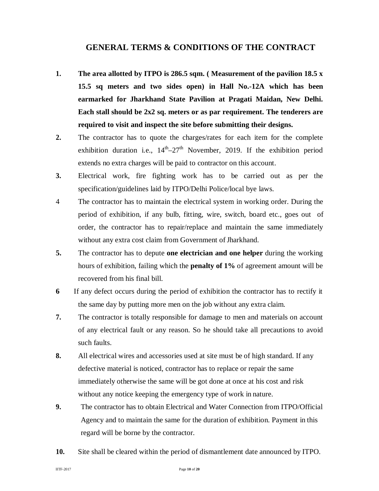#### **GENERAL TERMS & CONDITIONS OF THE CONTRACT**

- **1. The area allotted by ITPO is 286.5 sqm. ( Measurement of the pavilion 18.5 x 15.5 sq meters and two sides open) in Hall No.-12A which has been earmarked for Jharkhand State Pavilion at Pragati Maidan, New Delhi. Each stall should be 2x2 sq. meters or as par requirement. The tenderers are required to visit and inspect the site before submitting their designs.**
- **2.** The contractor has to quote the charges/rates for each item for the complete exhibition duration i.e.,  $14^{th} - 27^{th}$  November, 2019. If the exhibition period extends no extra charges will be paid to contractor on this account.
- **3.** Electrical work, fire fighting work has to be carried out as per the specification/guidelines laid by ITPO/Delhi Police/local bye laws.
- 4 The contractor has to maintain the electrical system in working order. During the period of exhibition, if any bulb, fitting, wire, switch, board etc., goes out of order, the contractor has to repair/replace and maintain the same immediately without any extra cost claim from Government of Jharkhand.
- **5.** The contractor has to depute **one electrician and one helper** during the working hours of exhibition, failing which the **penalty of 1%** of agreement amount will be recovered from his final bill.
- **6** If any defect occurs during the period of exhibition the contractor has to rectify it the same day by putting more men on the job without any extra claim.
- **7.** The contractor is totally responsible for damage to men and materials on account of any electrical fault or any reason. So he should take all precautions to avoid such faults.
- **8.** All electrical wires and accessories used at site must be of high standard. If any defective material is noticed, contractor has to replace or repair the same immediately otherwise the same will be got done at once at his cost and risk without any notice keeping the emergency type of work in nature.
- **9.** The contractor has to obtain Electrical and Water Connection from ITPO/Official Agency and to maintain the same for the duration of exhibition. Payment in this regard will be borne by the contractor.
- **10.** Site shall be cleared within the period of dismantlement date announced by ITPO.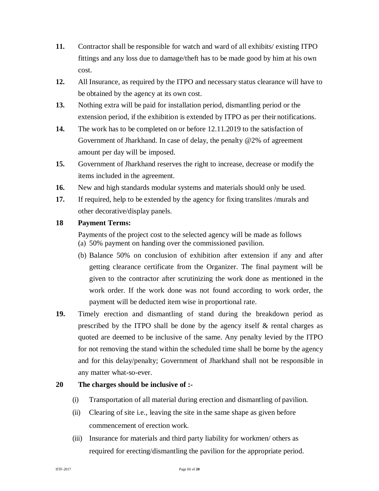- **11.** Contractor shall be responsible for watch and ward of all exhibits/ existing ITPO fittings and any loss due to damage/theft has to be made good by him at his own cost.
- **12.** All Insurance, as required by the ITPO and necessary status clearance will have to be obtained by the agency at its own cost.
- **13.** Nothing extra will be paid for installation period, dismantling period or the extension period, if the exhibition is extended by ITPO as per their notifications.
- **14.** The work has to be completed on or before 12.11.2019 to the satisfaction of Government of Jharkhand. In case of delay, the penalty @2% of agreement amount per day will be imposed.
- **15.** Government of Jharkhand reserves the right to increase, decrease or modify the items included in the agreement.
- **16.** New and high standards modular systems and materials should only be used.
- **17.** If required, help to be extended by the agency for fixing translites /murals and other decorative/display panels.

#### **18 Payment Terms:**

Payments of the project cost to the selected agency will be made as follows (a) 50% payment on handing over the commissioned pavilion.

- (b) Balance 50% on conclusion of exhibition after extension if any and after getting clearance certificate from the Organizer. The final payment will be given to the contractor after scrutinizing the work done as mentioned in the work order. If the work done was not found according to work order, the payment will be deducted item wise in proportional rate.
- **19.** Timely erection and dismantling of stand during the breakdown period as prescribed by the ITPO shall be done by the agency itself & rental charges as quoted are deemed to be inclusive of the same. Any penalty levied by the ITPO for not removing the stand within the scheduled time shall be borne by the agency and for this delay/penalty; Government of Jharkhand shall not be responsible in any matter what-so-ever.

#### **20 The charges should be inclusive of :-**

- (i) Transportation of all material during erection and dismantling of pavilion.
- (ii) Clearing of site i.e., leaving the site in the same shape as given before commencement of erection work.
- (iii) Insurance for materials and third party liability for workmen/ others as required for erecting/dismantling the pavilion for the appropriate period.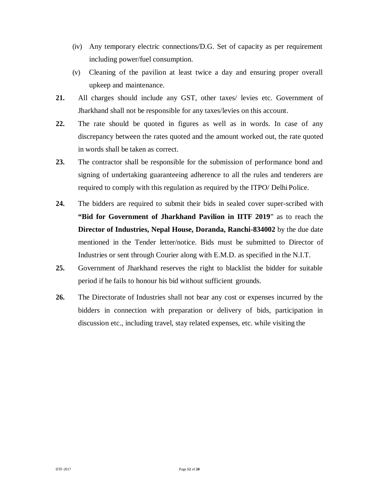- (iv) Any temporary electric connections/D.G. Set of capacity as per requirement including power/fuel consumption.
- (v) Cleaning of the pavilion at least twice a day and ensuring proper overall upkeep and maintenance.
- **21.** All charges should include any GST, other taxes/ levies etc. Government of Jharkhand shall not be responsible for any taxes/levies on this account.
- **22.** The rate should be quoted in figures as well as in words. In case of any discrepancy between the rates quoted and the amount worked out, the rate quoted in words shall be taken as correct.
- **23.** The contractor shall be responsible for the submission of performance bond and signing of undertaking guaranteeing adherence to all the rules and tenderers are required to comply with this regulation as required by the ITPO/ Delhi Police.
- **24.** The bidders are required to submit their bids in sealed cover super-scribed with **"Bid for Government of Jharkhand Pavilion in IITF 2019**" as to reach the **Director of Industries, Nepal House, Doranda, Ranchi-834002** by the due date mentioned in the Tender letter/notice. Bids must be submitted to Director of Industries or sent through Courier along with E.M.D. as specified in the N.I.T.
- **25.** Government of Jharkhand reserves the right to blacklist the bidder for suitable period if he fails to honour his bid without sufficient grounds.
- **26.** The Directorate of Industries shall not bear any cost or expenses incurred by the bidders in connection with preparation or delivery of bids, participation in discussion etc., including travel, stay related expenses, etc. while visiting the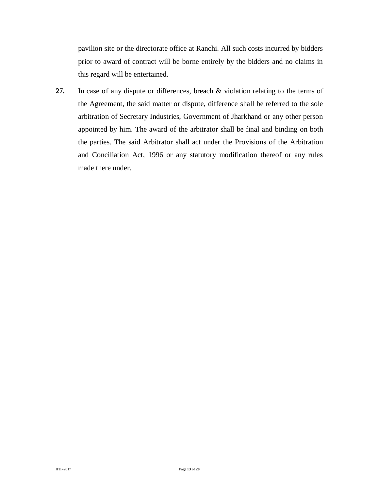pavilion site or the directorate office at Ranchi. All such costs incurred by bidders prior to award of contract will be borne entirely by the bidders and no claims in this regard will be entertained.

**27.** In case of any dispute or differences, breach & violation relating to the terms of the Agreement, the said matter or dispute, difference shall be referred to the sole arbitration of Secretary Industries, Government of Jharkhand or any other person appointed by him. The award of the arbitrator shall be final and binding on both the parties. The said Arbitrator shall act under the Provisions of the Arbitration and Conciliation Act, 1996 or any statutory modification thereof or any rules made there under.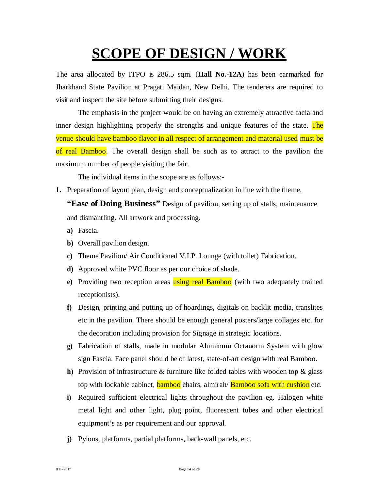# **SCOPE OF DESIGN / WORK**

The area allocated by ITPO is 286.5 sqm. (**Hall No.-12A**) has been earmarked for Jharkhand State Pavilion at Pragati Maidan, New Delhi. The tenderers are required to visit and inspect the site before submitting their designs.

The emphasis in the project would be on having an extremely attractive facia and inner design highlighting properly the strengths and unique features of the state. The venue should have bamboo flavor in all respect of arrangement and material used must be of real Bamboo. The overall design shall be such as to attract to the pavilion the maximum number of people visiting the fair.

The individual items in the scope are as follows:-

**1.** Preparation of layout plan, design and conceptualization in line with the theme,

**"Ease of Doing Business"** Design of pavilion, setting up of stalls, maintenance and dismantling. All artwork and processing.

- **a)** Fascia.
- **b)** Overall pavilion design.
- **c)** Theme Pavilion/ Air Conditioned V.I.P. Lounge (with toilet) Fabrication.
- **d)** Approved white PVC floor as per our choice of shade.
- **e**) Providing two reception areas **using real Bamboo** (with two adequately trained receptionists).
- **f)** Design, printing and putting up of hoardings, digitals on backlit media, translites etc in the pavilion. There should be enough general posters/large collages etc. for the decoration including provision for Signage in strategic locations.
- **g)** Fabrication of stalls, made in modular Aluminum Octanorm System with glow sign Fascia. Face panel should be of latest, state-of-art design with real Bamboo.
- **h)** Provision of infrastructure & furniture like folded tables with wooden top & glass top with lockable cabinet, **bamboo** chairs, almirah/ **Bamboo sofa with cushion** etc.
- **i)** Required sufficient electrical lights throughout the pavilion eg. Halogen white metal light and other light, plug point, fluorescent tubes and other electrical equipment's as per requirement and our approval.
- **j)** Pylons, platforms, partial platforms, back-wall panels, etc.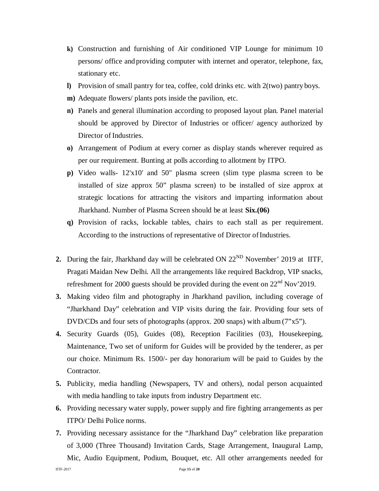- **k)** Construction and furnishing of Air conditioned VIP Lounge for minimum 10 persons/ office and providing computer with internet and operator, telephone, fax, stationary etc.
- **l)** Provision of small pantry for tea, coffee, cold drinks etc. with 2(two) pantry boys.
- **m)** Adequate flowers/ plants pots inside the pavilion, etc.
- **n)** Panels and general illumination according to proposed layout plan. Panel material should be approved by Director of Industries or officer/ agency authorized by Director of Industries.
- **o)** Arrangement of Podium at every corner as display stands wherever required as per our requirement. Bunting at polls according to allotment by ITPO.
- **p)** Video walls- 12'x10' and 50" plasma screen (slim type plasma screen to be installed of size approx 50" plasma screen) to be installed of size approx at strategic locations for attracting the visitors and imparting information about Jharkhand. Number of Plasma Screen should be at least **Six.(06)**
- **q)** Provision of racks, lockable tables, chairs to each stall as per requirement. According to the instructions of representative of Director of Industries.
- **2.** During the fair, Jharkhand day will be celebrated ON 22<sup>ND</sup> November' 2019 at IITF, Pragati Maidan New Delhi. All the arrangements like required Backdrop, VIP snacks, refreshment for 2000 guests should be provided during the event on  $22<sup>nd</sup> Nov'2019$ .
- **3.** Making video film and photography in Jharkhand pavilion, including coverage of "Jharkhand Day" celebration and VIP visits during the fair. Providing four sets of DVD/CDs and four sets of photographs (approx. 200 snaps) with album (7"x5").
- **4.** Security Guards (05), Guides (08), Reception Facilities (03), Housekeeping, Maintenance, Two set of uniform for Guides will be provided by the tenderer, as per our choice. Minimum Rs. 1500/- per day honorarium will be paid to Guides by the Contractor.
- **5.** Publicity, media handling (Newspapers, TV and others), nodal person acquainted with media handling to take inputs from industry Department etc.
- **6.** Providing necessary water supply, power supply and fire fighting arrangements as per ITPO/ Delhi Police norms.
- **7.** Providing necessary assistance for the "Jharkhand Day" celebration like preparation of 3,000 (Three Thousand) Invitation Cards, Stage Arrangement, Inaugural Lamp, Mic, Audio Equipment, Podium, Bouquet, etc. All other arrangements needed for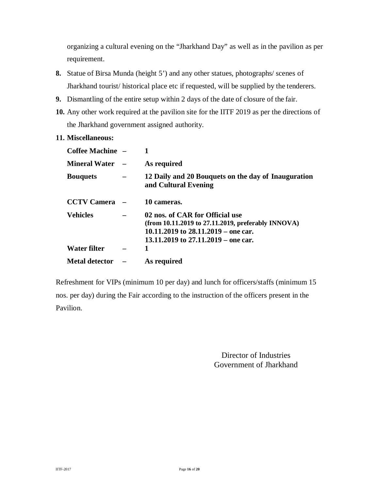organizing a cultural evening on the "Jharkhand Day" as well as in the pavilion as per requirement.

- **8.** Statue of Birsa Munda (height 5') and any other statues, photographs/ scenes of Jharkhand tourist/ historical place etc if requested, will be supplied by the tenderers.
- **9.** Dismantling of the entire setup within 2 days of the date of closure of the fair.
- **10.** Any other work required at the pavilion site for the IITF 2019 as per the directions of the Jharkhand government assigned authority.
- **11. Miscellaneous:**

| Coffee Machine -      |                                                                                                                                                                           |
|-----------------------|---------------------------------------------------------------------------------------------------------------------------------------------------------------------------|
| <b>Mineral Water</b>  | As required                                                                                                                                                               |
| <b>Bouquets</b>       | 12 Daily and 20 Bouquets on the day of Inauguration<br>and Cultural Evening                                                                                               |
| <b>CCTV Camera</b>    | 10 cameras.                                                                                                                                                               |
| <b>Vehicles</b>       | 02 nos. of CAR for Official use<br>(from $10.11.2019$ to 27.11.2019, preferably INNOVA)<br>10.11.2019 to $28.11.2019$ – one car.<br>13.11.2019 to $27.11.2019$ – one car. |
| Water filter          |                                                                                                                                                                           |
| <b>Metal detector</b> | As required                                                                                                                                                               |

Refreshment for VIPs (minimum 10 per day) and lunch for officers/staffs (minimum 15 nos. per day) during the Fair according to the instruction of the officers present in the Pavilion.

> Director of Industries Government of Jharkhand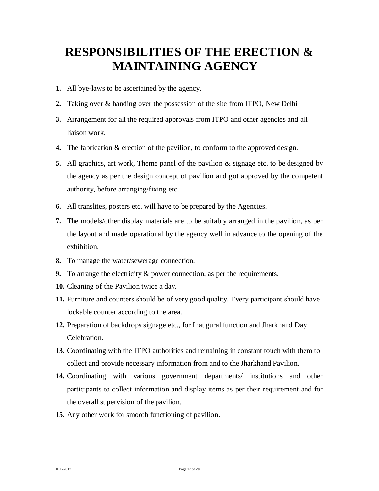## **RESPONSIBILITIES OF THE ERECTION & MAINTAINING AGENCY**

- **1.** All bye-laws to be ascertained by the agency.
- **2.** Taking over & handing over the possession of the site from ITPO, New Delhi
- **3.** Arrangement for all the required approvals from ITPO and other agencies and all liaison work.
- **4.** The fabrication & erection of the pavilion, to conform to the approved design.
- **5.** All graphics, art work, Theme panel of the pavilion & signage etc. to be designed by the agency as per the design concept of pavilion and got approved by the competent authority, before arranging/fixing etc.
- **6.** All translites, posters etc. will have to be prepared by the Agencies.
- **7.** The models/other display materials are to be suitably arranged in the pavilion, as per the layout and made operational by the agency well in advance to the opening of the exhibition.
- **8.** To manage the water/sewerage connection.
- **9.** To arrange the electricity & power connection, as per the requirements.
- **10.** Cleaning of the Pavilion twice a day.
- **11.** Furniture and counters should be of very good quality. Every participant should have lockable counter according to the area.
- **12.** Preparation of backdrops signage etc., for Inaugural function and Jharkhand Day Celebration.
- **13.** Coordinating with the ITPO authorities and remaining in constant touch with them to collect and provide necessary information from and to the Jharkhand Pavilion.
- **14.** Coordinating with various government departments/ institutions and other participants to collect information and display items as per their requirement and for the overall supervision of the pavilion.
- **15.** Any other work for smooth functioning of pavilion.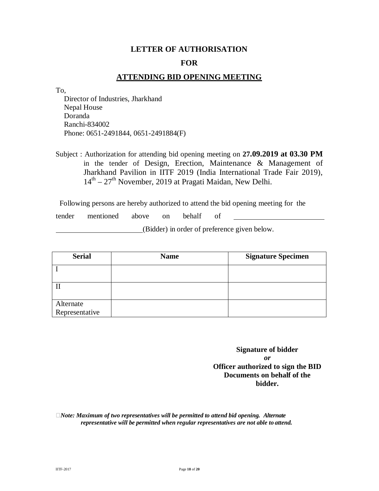### **LETTER OF AUTHORISATION FOR**

#### **ATTENDING BID OPENING MEETING**

To,

Director of Industries, Jharkhand Nepal House Doranda Ranchi-834002 Phone: 0651-2491844, 0651-2491884(F)

Subject : Authorization for attending bid opening meeting on **27.09.2019 at 03.30 PM**  in the tender of Design, Erection, Maintenance & Management of Jharkhand Pavilion in IITF 2019 (India International Trade Fair 2019), 14<sup>th</sup> – 27<sup>th</sup> November, 2019 at Pragati Maidan, New Delhi.

Following persons are hereby authorized to attend the bid opening meeting for the

tender mentioned above on behalf of

(Bidder) in order of preference given below.

| <b>Serial</b>               | <b>Name</b> | <b>Signature Specimen</b> |
|-----------------------------|-------------|---------------------------|
|                             |             |                           |
|                             |             |                           |
| Alternate<br>Representative |             |                           |

**Signature of bidder** *or* **Officer authorized to sign the BID Documents on behalf of the bidder.**

*Note: Maximum of two representatives will be permitted to attend bid opening. Alternate representative will be permitted when regular representatives are not able to attend.*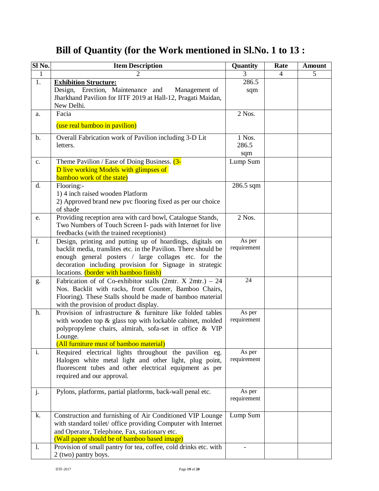## **Bill of Quantity (for the Work mentioned in Sl.No. 1 to 13 :**

| Sl No.         | <b>Item Description</b>                                                                                                                                                                                                                                                                   | Quantity               | Rate           | <b>Amount</b> |
|----------------|-------------------------------------------------------------------------------------------------------------------------------------------------------------------------------------------------------------------------------------------------------------------------------------------|------------------------|----------------|---------------|
| $\mathbf{1}$   | $\mathfrak{D}$                                                                                                                                                                                                                                                                            | 3                      | $\overline{4}$ | 5             |
| 1.             | <b>Exhibition Structure:</b><br>Design, Erection, Maintenance and<br>Management of<br>Jharkhand Pavilion for IITF 2019 at Hall-12, Pragati Maidan,<br>New Delhi.                                                                                                                          | 286.5<br>sqm           |                |               |
| a.             | Facia                                                                                                                                                                                                                                                                                     | 2 Nos.                 |                |               |
|                | (use real bamboo in pavilion)                                                                                                                                                                                                                                                             |                        |                |               |
| $b$ .          | Overall Fabrication work of Pavilion including 3-D Lit<br>letters.                                                                                                                                                                                                                        | 1 Nos.<br>286.5<br>sqm |                |               |
| $c_{\cdot}$    | Theme Pavilion / Ease of Doing Business. (3-<br>D live working Models with glimpses of<br>bamboo work of the state)                                                                                                                                                                       | Lump Sum               |                |               |
| d.             | Flooring:-<br>1) 4 inch raised wooden Platform<br>2) Approved brand new pvc flooring fixed as per our choice<br>of shade                                                                                                                                                                  | 286.5 sqm              |                |               |
| e.             | Providing reception area with card bowl, Catalogue Stands,<br>Two Numbers of Touch Screen I- pads with Internet for live<br>feedbacks (with the trained receptionist)                                                                                                                     | 2 Nos.                 |                |               |
| f.             | Design, printing and putting up of hoardings, digitals on<br>backlit media, translites etc. in the Pavilion. There should be<br>enough general posters / large collages etc. for the<br>decoration including provision for Signage in strategic<br>locations. (border with bamboo finish) | As per<br>requirement  |                |               |
| g.             | Fabrication of of Co-exhibitor stalls (2mtr. $X$ 2mtr.) – 24<br>Nos. Backlit with racks, front Counter, Bamboo Chairs,<br>Flooring). These Stalls should be made of bamboo material<br>with the provision of product display.                                                             | 24                     |                |               |
| h.             | Provision of infrastructure & furniture like folded tables<br>with wooden top & glass top with lockable cabinet, molded<br>polypropylene chairs, almirah, sofa-set in office & VIP<br>Lounge.<br>(All furniture must of bamboo material)                                                  | As per<br>requirement  |                |               |
| i.             | Required electrical lights throughout the pavilion eg.<br>Halogen white metal light and other light, plug point,<br>fluorescent tubes and other electrical equipment as per<br>required and our approval.                                                                                 | As per<br>requirement  |                |               |
| j.             | Pylons, platforms, partial platforms, back-wall penal etc.                                                                                                                                                                                                                                | As per<br>requirement  |                |               |
| k.             | Construction and furnishing of Air Conditioned VIP Lounge<br>with standard toilet/ office providing Computer with Internet<br>and Operator, Telephone, Fax, stationary etc.<br>(Wall paper should be of bamboo based image)                                                               | Lump Sum               |                |               |
| $\mathbf{1}$ . | Provision of small pantry for tea, coffee, cold drinks etc. with<br>2 (two) pantry boys.                                                                                                                                                                                                  |                        |                |               |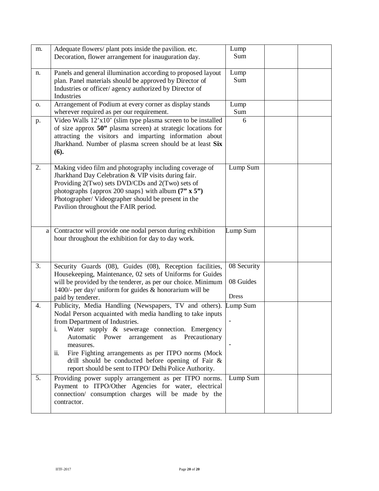| m. | Adequate flowers/ plant pots inside the pavilion. etc.<br>Decoration, flower arrangement for inauguration day.                                                                                                                                                                                                                                                                                                                                                | Lump<br>Sum                              |  |
|----|---------------------------------------------------------------------------------------------------------------------------------------------------------------------------------------------------------------------------------------------------------------------------------------------------------------------------------------------------------------------------------------------------------------------------------------------------------------|------------------------------------------|--|
| n. | Panels and general illumination according to proposed layout<br>plan. Panel materials should be approved by Director of<br>Industries or officer/ agency authorized by Director of<br>Industries                                                                                                                                                                                                                                                              | Lump<br>Sum                              |  |
| О. | Arrangement of Podium at every corner as display stands<br>wherever required as per our requirement.                                                                                                                                                                                                                                                                                                                                                          | Lump<br>Sum                              |  |
| p. | Video Walls 12'x10' (slim type plasma screen to be installed<br>of size approx 50" plasma screen) at strategic locations for<br>attracting the visitors and imparting information about<br>Jharkhand. Number of plasma screen should be at least Six<br>(6).                                                                                                                                                                                                  | 6                                        |  |
| 2. | Making video film and photography including coverage of<br>Jharkhand Day Celebration & VIP visits during fair.<br>Providing 2(Two) sets DVD/CDs and 2(Two) sets of<br>photographs {approx 200 snaps} with album $(7" \times 5")$<br>Photographer/Videographer should be present in the<br>Pavilion throughout the FAIR period.                                                                                                                                | Lump Sum                                 |  |
| a  | Contractor will provide one nodal person during exhibition<br>hour throughout the exhibition for day to day work.                                                                                                                                                                                                                                                                                                                                             | Lump Sum                                 |  |
| 3. | Security Guards (08), Guides (08), Reception facilities,<br>Housekeeping, Maintenance, 02 sets of Uniforms for Guides<br>will be provided by the tenderer, as per our choice. Minimum<br>1400/- per day/ uniform for guides $&$ honorarium will be<br>paid by tenderer.                                                                                                                                                                                       | 08 Security<br>08 Guides<br><b>Dress</b> |  |
| 4. | Publicity, Media Handling (Newspapers, TV and others).<br>Nodal Person acquainted with media handling to take inputs<br>from Department of Industries.<br>Water supply & sewerage connection. Emergency<br>i.<br>Automatic Power<br>arrangement<br>as Precautionary<br>measures.<br>Fire Fighting arrangements as per ITPO norms (Mock<br>ii.<br>drill should be conducted before opening of Fair &<br>report should be sent to ITPO/ Delhi Police Authority. | Lump Sum<br>$\overline{\phantom{a}}$     |  |
| 5. | Providing power supply arrangement as per ITPO norms.<br>Payment to ITPO/Other Agencies for water, electrical<br>connection/ consumption charges will be made by the<br>contractor.                                                                                                                                                                                                                                                                           | Lump Sum                                 |  |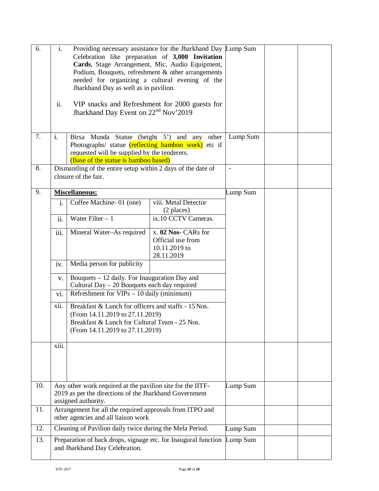| 6.  | i.                                                                                                                                                                                 | Providing necessary assistance for the Jharkhand Day Lump Sum<br>Celebration like preparation of 3,000 Invitation<br>Cards, Stage Arrangement, Mic, Audio Equipment,<br>Podium, Bouquets, refreshment & other arrangements<br>needed for organizing a cultural evening of the<br>Jharkhand Day as well as in pavilion. |                                                                         |          |  |
|-----|------------------------------------------------------------------------------------------------------------------------------------------------------------------------------------|------------------------------------------------------------------------------------------------------------------------------------------------------------------------------------------------------------------------------------------------------------------------------------------------------------------------|-------------------------------------------------------------------------|----------|--|
|     | ii.                                                                                                                                                                                | VIP snacks and Refreshment for 2000 guests for<br>Jharkhand Day Event on 22 <sup>nd</sup> Nov'2019                                                                                                                                                                                                                     |                                                                         |          |  |
| 7.  | i.                                                                                                                                                                                 | Birsa Munda Statue (height 5') and any other<br>Photographs/ statue (reflecting bamboo work) etc if<br>requested will be supplied by the tenderers.<br>(Base of the statue is bamboo based)                                                                                                                            |                                                                         |          |  |
| 8.  |                                                                                                                                                                                    | Dismantling of the entire setup within 2 days of the date of<br>closure of the fair.                                                                                                                                                                                                                                   |                                                                         |          |  |
| 9.  |                                                                                                                                                                                    | Miscellaneous:                                                                                                                                                                                                                                                                                                         |                                                                         | Lump Sum |  |
|     | i.                                                                                                                                                                                 | Coffee Machine-01 (one)                                                                                                                                                                                                                                                                                                | viii. Metal Detector<br>(2 places)                                      |          |  |
|     | ii.                                                                                                                                                                                | Water Filter $-1$                                                                                                                                                                                                                                                                                                      | ix.10 CCTV Cameras.                                                     |          |  |
|     | iii.                                                                                                                                                                               | Mineral Water-As required                                                                                                                                                                                                                                                                                              | x. 02 Nos- CARs for<br>Official use from<br>10.11.2019 to<br>28.11.2019 |          |  |
|     | iv.                                                                                                                                                                                | Media person for publicity                                                                                                                                                                                                                                                                                             |                                                                         |          |  |
|     | V.                                                                                                                                                                                 | Bouquets – 12 daily. For Inauguration Day and<br>Cultural Day - 20 Bouquets each day required                                                                                                                                                                                                                          |                                                                         |          |  |
|     | Refreshment for $VIPs - 10$ daily (minimum)<br>vi.                                                                                                                                 |                                                                                                                                                                                                                                                                                                                        |                                                                         |          |  |
|     | xii.<br>Breakfast & Lunch for officers and staffs - 15 Nos.<br>(From 14.11.2019 to 27.11.2019)<br>Breakfast & Lunch for Cultural Team - 25 Nos.<br>(From 14.11.2019 to 27.11.2019) |                                                                                                                                                                                                                                                                                                                        |                                                                         |          |  |
|     | xiii.                                                                                                                                                                              |                                                                                                                                                                                                                                                                                                                        |                                                                         |          |  |
| 10. |                                                                                                                                                                                    | Any other work required at the pavilion site for the IITF-<br>2019 as per the directions of the Jharkhand Government<br>assigned authority.                                                                                                                                                                            |                                                                         | Lump Sum |  |
| 11. | Arrangement for all the required approvals from ITPO and<br>other agencies and all liaison work                                                                                    |                                                                                                                                                                                                                                                                                                                        |                                                                         |          |  |
| 12. |                                                                                                                                                                                    | Cleaning of Pavilion daily twice during the Mela Period.                                                                                                                                                                                                                                                               |                                                                         | Lump Sum |  |
| 13. |                                                                                                                                                                                    | Preparation of back drops, signage etc. for Inaugural function Lump Sum<br>and Jharkhand Day Celebration.                                                                                                                                                                                                              |                                                                         |          |  |